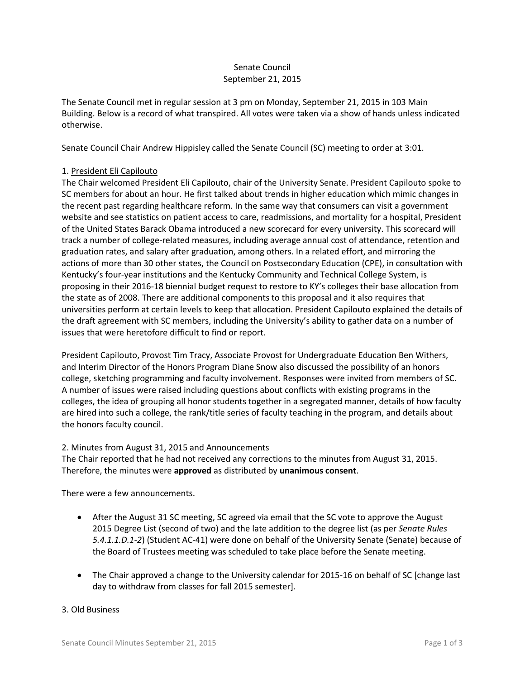# Senate Council September 21, 2015

The Senate Council met in regular session at 3 pm on Monday, September 21, 2015 in 103 Main Building. Below is a record of what transpired. All votes were taken via a show of hands unless indicated otherwise.

Senate Council Chair Andrew Hippisley called the Senate Council (SC) meeting to order at 3:01.

# 1. President Eli Capilouto

The Chair welcomed President Eli Capilouto, chair of the University Senate. President Capilouto spoke to SC members for about an hour. He first talked about trends in higher education which mimic changes in the recent past regarding healthcare reform. In the same way that consumers can visit a government website and see statistics on patient access to care, readmissions, and mortality for a hospital, President of the United States Barack Obama introduced a new scorecard for every university. This scorecard will track a number of college-related measures, including average annual cost of attendance, retention and graduation rates, and salary after graduation, among others. In a related effort, and mirroring the actions of more than 30 other states, the Council on Postsecondary Education (CPE), in consultation with Kentucky's four-year institutions and the Kentucky Community and Technical College System, is proposing in their 2016-18 biennial budget request to restore to KY's colleges their base allocation from the state as of 2008. There are additional components to this proposal and it also requires that universities perform at certain levels to keep that allocation. President Capilouto explained the details of the draft agreement with SC members, including the University's ability to gather data on a number of issues that were heretofore difficult to find or report.

President Capilouto, Provost Tim Tracy, Associate Provost for Undergraduate Education Ben Withers, and Interim Director of the Honors Program Diane Snow also discussed the possibility of an honors college, sketching programming and faculty involvement. Responses were invited from members of SC. A number of issues were raised including questions about conflicts with existing programs in the colleges, the idea of grouping all honor students together in a segregated manner, details of how faculty are hired into such a college, the rank/title series of faculty teaching in the program, and details about the honors faculty council.

## 2. Minutes from August 31, 2015 and Announcements

The Chair reported that he had not received any corrections to the minutes from August 31, 2015. Therefore, the minutes were **approved** as distributed by **unanimous consent**.

There were a few announcements.

- After the August 31 SC meeting, SC agreed via email that the SC vote to approve the August 2015 Degree List (second of two) and the late addition to the degree list (as per *Senate Rules 5.4.1.1.D.1-2*) (Student AC-41) were done on behalf of the University Senate (Senate) because of the Board of Trustees meeting was scheduled to take place before the Senate meeting.
- The Chair approved a change to the University calendar for 2015-16 on behalf of SC [change last day to withdraw from classes for fall 2015 semester].

## 3. Old Business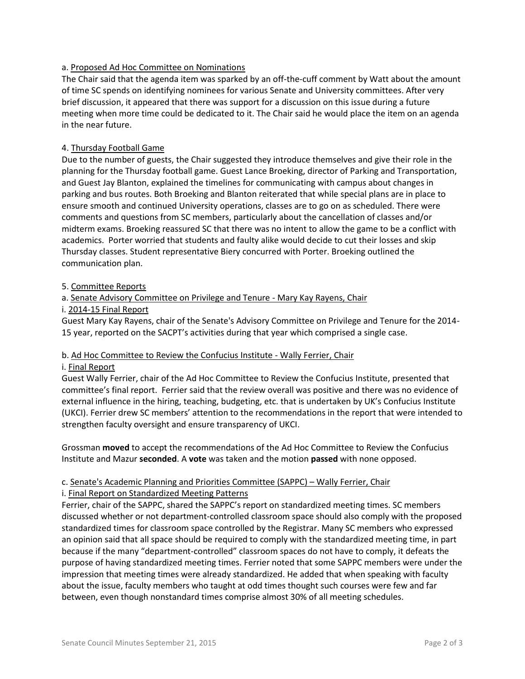## a. Proposed Ad Hoc Committee on Nominations

The Chair said that the agenda item was sparked by an off-the-cuff comment by Watt about the amount of time SC spends on identifying nominees for various Senate and University committees. After very brief discussion, it appeared that there was support for a discussion on this issue during a future meeting when more time could be dedicated to it. The Chair said he would place the item on an agenda in the near future.

# 4. Thursday Football Game

Due to the number of guests, the Chair suggested they introduce themselves and give their role in the planning for the Thursday football game. Guest Lance Broeking, director of Parking and Transportation, and Guest Jay Blanton, explained the timelines for communicating with campus about changes in parking and bus routes. Both Broeking and Blanton reiterated that while special plans are in place to ensure smooth and continued University operations, classes are to go on as scheduled. There were comments and questions from SC members, particularly about the cancellation of classes and/or midterm exams. Broeking reassured SC that there was no intent to allow the game to be a conflict with academics. Porter worried that students and faulty alike would decide to cut their losses and skip Thursday classes. Student representative Biery concurred with Porter. Broeking outlined the communication plan.

#### 5. Committee Reports

## a. Senate Advisory Committee on Privilege and Tenure - Mary Kay Rayens, Chair

#### i. 2014-15 Final Report

Guest Mary Kay Rayens, chair of the Senate's Advisory Committee on Privilege and Tenure for the 2014- 15 year, reported on the SACPT's activities during that year which comprised a single case.

#### b. Ad Hoc Committee to Review the Confucius Institute - Wally Ferrier, Chair

#### i. Final Report

Guest Wally Ferrier, chair of the Ad Hoc Committee to Review the Confucius Institute, presented that committee's final report. Ferrier said that the review overall was positive and there was no evidence of external influence in the hiring, teaching, budgeting, etc. that is undertaken by UK's Confucius Institute (UKCI). Ferrier drew SC members' attention to the recommendations in the report that were intended to strengthen faculty oversight and ensure transparency of UKCI.

Grossman **moved** to accept the recommendations of the Ad Hoc Committee to Review the Confucius Institute and Mazur **seconded**. A **vote** was taken and the motion **passed** with none opposed.

## c. Senate's Academic Planning and Priorities Committee (SAPPC) – Wally Ferrier, Chair

#### i. Final Report on Standardized Meeting Patterns

Ferrier, chair of the SAPPC, shared the SAPPC's report on standardized meeting times. SC members discussed whether or not department-controlled classroom space should also comply with the proposed standardized times for classroom space controlled by the Registrar. Many SC members who expressed an opinion said that all space should be required to comply with the standardized meeting time, in part because if the many "department-controlled" classroom spaces do not have to comply, it defeats the purpose of having standardized meeting times. Ferrier noted that some SAPPC members were under the impression that meeting times were already standardized. He added that when speaking with faculty about the issue, faculty members who taught at odd times thought such courses were few and far between, even though nonstandard times comprise almost 30% of all meeting schedules.